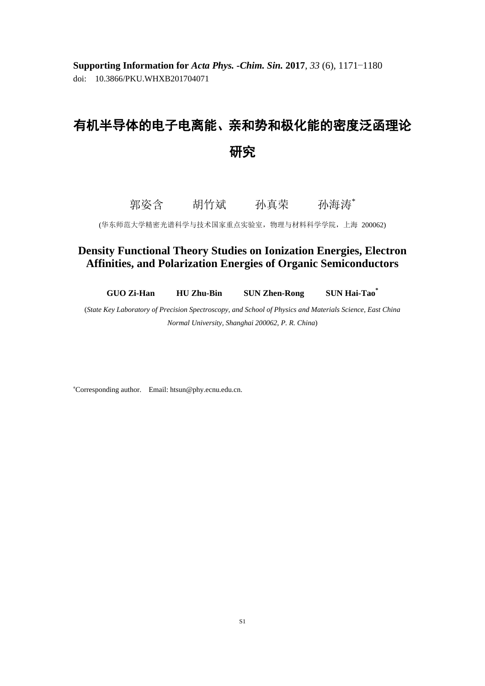**Supporting Information for** *Acta Phys. -Chim. Sin.* **2017**, *33* (6), 1171−1180 doi: 10.3866/PKU.WHXB201704071

# 有机半导体的电子电离能、亲和势和极化能的密度泛函理论 研究

郭姿含 胡竹斌 孙真荣 孙海涛\*

(华东师范大学精密光谱科学与技术国家重点实验室,物理与材料科学学院,上海 200062)

#### **Density Functional Theory Studies on Ionization Energies, Electron Affinities, and Polarization Energies of Organic Semiconductors**

**GUO Zi-Han HU Zhu-Bin SUN Zhen-Rong SUN Hai-Tao\***

(*State Key Laboratory of Precision Spectroscopy, and School of Physics and Materials Science, East China Normal University, Shanghai 200062, P. R. China*)

<sup>∗</sup>Corresponding author. Email: htsun@phy.ecnu.edu.cn.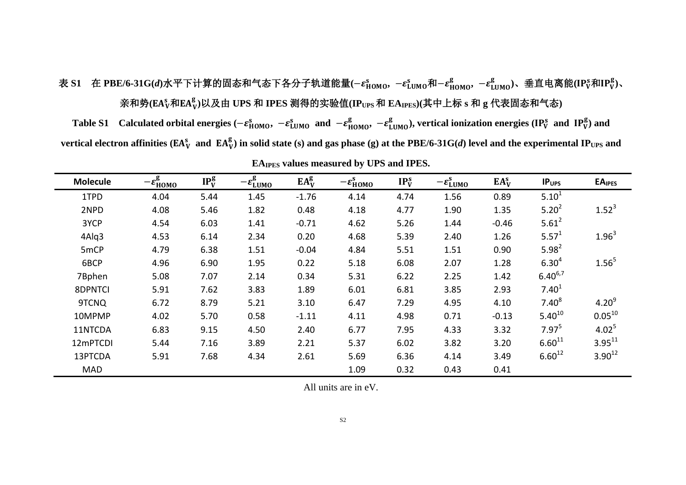## 表 S1 在 PBE/6-31G(*d*)水平下计算的固态和气态下各分子轨道能量(−ε $_{\tt{HOMO}}^{\rm{s}},\;$ −ε $_{\tt{LUMO}}^{\rm{g}}$ λ −ε $_{\tt{LUMO}}^{\rm{g}}$ )、垂直电离能(IP $_{\tt{V}}^{\rm{s}}$ AlIP $_{\tt{V}}^{\rm{g}}$ )、 亲和势**(** 和 **)**以及由 **UPS** 和 **IPES** 测得的实验值**(IPUPS**和 **EAIPES)(**其中上标 **s** 和 **g** 代表固态和气态**)**

Table S1  $\;$  Calculated orbital energies  $(-\varepsilon_{\rm HOMO}^{\rm s},\ -\varepsilon_{\rm LUMO}^{\rm s}$  and  $\;-\varepsilon_{\rm HOMO}^{\rm g},\ -\varepsilon_{\rm LUMO}^{\rm g}),$  vertical ionization energies (IP $_{\rm V}^{\rm s}$  and  $\;$ IP $_{\rm V}^{\rm g})$  and  $v$ ertical electron affinities (EA $^s_V$  and  $EA^g_V$ ) in solid state (s) and gas phase (g) at the PBE/6-31G(*d*) level and the experimental IP<sub>UPS</sub> and

| <b>Molecule</b> | $-\varepsilon_{\underline{\text{HOMO}}}^{\mathrm{g}}$ | $IP^g_V$ | $-\varepsilon_{\underline{\text{LUMO}}}^{\stackrel{}{\mathcal{B}}}$ | $EA_V^g$ | $-\varepsilon_{\text{HOMO}}^{\text{s}}$ | $IP_{V}^{s}$ | $-\varepsilon_{\text{LUMO}}^{\text{s}}$ | $EA_V^s$ | IP <sub>UPS</sub> | <b>EA<sub>IPES</sub></b> |
|-----------------|-------------------------------------------------------|----------|---------------------------------------------------------------------|----------|-----------------------------------------|--------------|-----------------------------------------|----------|-------------------|--------------------------|
| 1TPD            | 4.04                                                  | 5.44     | 1.45                                                                | $-1.76$  | 4.14                                    | 4.74         | 1.56                                    | 0.89     | 5.10 <sup>1</sup> |                          |
| 2NPD            | 4.08                                                  | 5.46     | 1.82                                                                | 0.48     | 4.18                                    | 4.77         | 1.90                                    | 1.35     | $5.20^2$          | $1.52^{3}$               |
| 3YCP            | 4.54                                                  | 6.03     | 1.41                                                                | $-0.71$  | 4.62                                    | 5.26         | 1.44                                    | $-0.46$  | $5.61^2$          |                          |
| 4Alq3           | 4.53                                                  | 6.14     | 2.34                                                                | 0.20     | 4.68                                    | 5.39         | 2.40                                    | 1.26     | $5.57^{1}$        | $1.96^{3}$               |
| 5mCP            | 4.79                                                  | 6.38     | 1.51                                                                | $-0.04$  | 4.84                                    | 5.51         | 1.51                                    | 0.90     | $5.98^{2}$        |                          |
| 6BCP            | 4.96                                                  | 6.90     | 1.95                                                                | 0.22     | 5.18                                    | 6.08         | 2.07                                    | 1.28     | $6.30^{4}$        | $1.56^{5}$               |
| 7Bphen          | 5.08                                                  | 7.07     | 2.14                                                                | 0.34     | 5.31                                    | 6.22         | 2.25                                    | 1.42     | $6.40^{6,7}$      |                          |
| 8DPNTCI         | 5.91                                                  | 7.62     | 3.83                                                                | 1.89     | 6.01                                    | 6.81         | 3.85                                    | 2.93     | 7.40 <sup>1</sup> |                          |
| 9TCNQ           | 6.72                                                  | 8.79     | 5.21                                                                | 3.10     | 6.47                                    | 7.29         | 4.95                                    | 4.10     | $7.40^{8}$        | $4.20^{9}$               |
| 10MPMP          | 4.02                                                  | 5.70     | 0.58                                                                | $-1.11$  | 4.11                                    | 4.98         | 0.71                                    | $-0.13$  | $5.40^{10}$       | $0.05^{10}$              |
| 11NTCDA         | 6.83                                                  | 9.15     | 4.50                                                                | 2.40     | 6.77                                    | 7.95         | 4.33                                    | 3.32     | $7.97^{5}$        | $4.02^{5}$               |
| 12mPTCDI        | 5.44                                                  | 7.16     | 3.89                                                                | 2.21     | 5.37                                    | 6.02         | 3.82                                    | 3.20     | $6.60^{11}$       | $3.95^{11}$              |
| 13PTCDA         | 5.91                                                  | 7.68     | 4.34                                                                | 2.61     | 5.69                                    | 6.36         | 4.14                                    | 3.49     | $6.60^{12}$       | $3.90^{12}$              |
| <b>MAD</b>      |                                                       |          |                                                                     |          | 1.09                                    | 0.32         | 0.43                                    | 0.41     |                   |                          |

**EAIPES values measured by UPS and IPES.**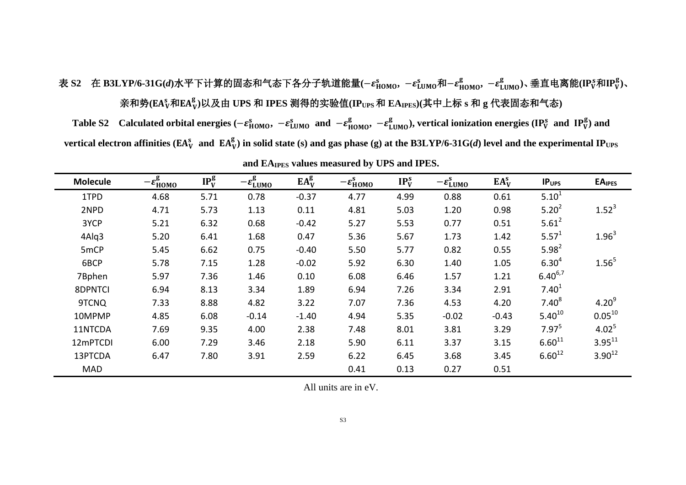## 表 S2 在 B3LYP/6-31G(*d*)水平下计算的固态和气态下各分子轨道能量(−ε $_{\rm{HOMO}}^{\rm{s}}$ , −ε $_{\rm{LUMO}}^{\rm{g}}$ , −ε $_{\rm{LUMO}}^{\rm{g}}$ )、垂直电离能(IP $_{\rm{V}}^{\rm{s}}$ AlIP $_{\rm{V}}^{\rm{g}}$ )、 亲和势**(** 和 **)**以及由 **UPS** 和 **IPES** 测得的实验值**(IPUPS**和 **EAIPES)(**其中上标 **s** 和 **g** 代表固态和气态**)**

Table S2  $\;$  Calculated orbital energies ( $-\varepsilon_{\rm{HOMO}}^{\rm{s}},\;-\varepsilon_{\rm{LUMO}}^{\rm{g}}$  and  $\;-\varepsilon_{\rm{HOMO}}^{\rm{g}},\;-\varepsilon_{\rm{LUMO}}^{\rm{g}})$ , vertical ionization energies (IP $_{\rm{V}}^{\rm{s}}$  and  $\;$ IP $_{\rm{V}}^{\rm{g}}$ ) and  $\bf v$ ertical electron affinities (EA $^{\rm g}_{\rm V}$  and EA $^{\rm g}_{\rm V}$ ) in solid state (s) and gas phase (g) at the B3LYP/6-31G(*d*) level and the experimental IP $_{\rm UPS}$ 

| <b>Molecule</b> | $-\varepsilon_{\underline{\text{HOMO}}}^{\text{g}}$ | $IP^g_V$ | $-\varepsilon_{\underline{\rm LUMO}}^{\rm g}$ | $EA_V^g$ | $-\varepsilon_{\text{HOMO}}^{\text{s}}$ | $IP_{V}^{s}$ | $-\varepsilon_{\text{LUMO}}^{\text{s}}$ | $EA_V^s$ | IP <sub>UPS</sub> | <b>EA<sub>IPES</sub></b> |
|-----------------|-----------------------------------------------------|----------|-----------------------------------------------|----------|-----------------------------------------|--------------|-----------------------------------------|----------|-------------------|--------------------------|
| 1TPD            | 4.68                                                | 5.71     | 0.78                                          | $-0.37$  | 4.77                                    | 4.99         | 0.88                                    | 0.61     | $5.10^{1}$        |                          |
| 2NPD            | 4.71                                                | 5.73     | 1.13                                          | 0.11     | 4.81                                    | 5.03         | 1.20                                    | 0.98     | $5.20^2$          | $1.52^{3}$               |
| 3YCP            | 5.21                                                | 6.32     | 0.68                                          | $-0.42$  | 5.27                                    | 5.53         | 0.77                                    | 0.51     | $5.61^2$          |                          |
| 4Alq3           | 5.20                                                | 6.41     | 1.68                                          | 0.47     | 5.36                                    | 5.67         | 1.73                                    | 1.42     | $5.57^{1}$        | $1.96^{3}$               |
| 5mCP            | 5.45                                                | 6.62     | 0.75                                          | $-0.40$  | 5.50                                    | 5.77         | 0.82                                    | 0.55     | $5.98^{2}$        |                          |
| 6BCP            | 5.78                                                | 7.15     | 1.28                                          | $-0.02$  | 5.92                                    | 6.30         | 1.40                                    | 1.05     | $6.30^{4}$        | $1.56^{5}$               |
| 7Bphen          | 5.97                                                | 7.36     | 1.46                                          | 0.10     | 6.08                                    | 6.46         | 1.57                                    | 1.21     | $6.40^{6,7}$      |                          |
| 8DPNTCI         | 6.94                                                | 8.13     | 3.34                                          | 1.89     | 6.94                                    | 7.26         | 3.34                                    | 2.91     | 7.40 <sup>1</sup> |                          |
| 9TCNQ           | 7.33                                                | 8.88     | 4.82                                          | 3.22     | 7.07                                    | 7.36         | 4.53                                    | 4.20     | $7.40^{8}$        | $4.20^{9}$               |
| 10MPMP          | 4.85                                                | 6.08     | $-0.14$                                       | $-1.40$  | 4.94                                    | 5.35         | $-0.02$                                 | $-0.43$  | $5.40^{10}$       | $0.05^{10}$              |
| 11NTCDA         | 7.69                                                | 9.35     | 4.00                                          | 2.38     | 7.48                                    | 8.01         | 3.81                                    | 3.29     | 7.97 <sup>5</sup> | $4.02^{5}$               |
| 12mPTCDI        | 6.00                                                | 7.29     | 3.46                                          | 2.18     | 5.90                                    | 6.11         | 3.37                                    | 3.15     | $6.60^{11}$       | $3.95^{11}$              |
| 13PTCDA         | 6.47                                                | 7.80     | 3.91                                          | 2.59     | 6.22                                    | 6.45         | 3.68                                    | 3.45     | $6.60^{12}$       | $3.90^{12}$              |
| <b>MAD</b>      |                                                     |          |                                               |          | 0.41                                    | 0.13         | 0.27                                    | 0.51     |                   |                          |

| and EA <sub>IPES</sub> values measured by UPS and IPES. |  |  |  |  |  |
|---------------------------------------------------------|--|--|--|--|--|
|---------------------------------------------------------|--|--|--|--|--|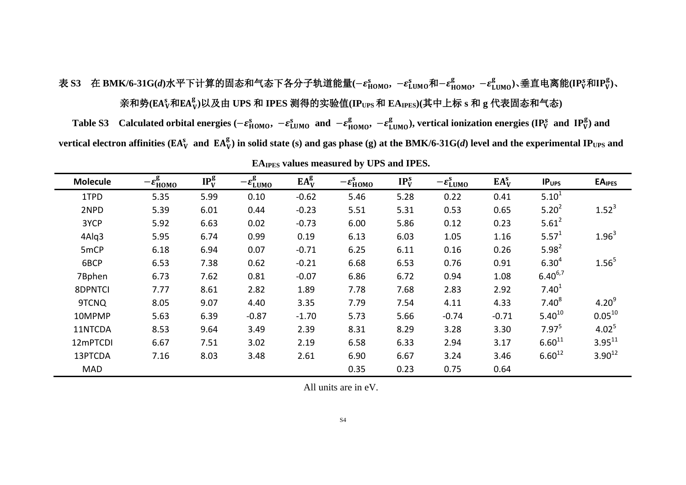## 表 S3 在 BMK/6-31G(*d*)水平下计算的固态和气态下各分子轨道能量(−ε $_{\tt{HOMO}}^{\rm{s}},\,$ −ε $_{\tt{LUMO}}^{\rm{g}}$ λ −ε $_{\tt{LUMO}}^{\rm{g}}$ )、垂直电离能(IP $_{\tt{V}}^{\rm{s}}$ AlIP $_{\tt{V}}^{\rm{g}}$ )、 亲和势**(** 和 **)**以及由 **UPS** 和 **IPES** 测得的实验值**(IPUPS**和 **EAIPES)(**其中上标 **s** 和 **g** 代表固态和气态**)**

Table S3  $\;$  Calculated orbital energies ( $-\varepsilon_{\rm{HOMO}}^{\rm{s}},\;-\varepsilon_{\rm{LUMO}}^{\rm{g}}$  and  $\;-\varepsilon_{\rm{HOMO}}^{\rm{g}},\;-\varepsilon_{\rm{LUMO}}^{\rm{g}})$ , vertical ionization energies (IP $_{\rm{V}}^{\rm{s}}$  and  $\;$ IP $_{\rm{V}}^{\rm{g}}$ ) and  $v$ ertical electron affinities (EA $^s_V$  and  $EA^g_V$ ) in solid state (s) and gas phase (g) at the BMK/6-31G(*d*) level and the experimental IP<sub>UPS</sub> and

| <b>Molecule</b> | $-\varepsilon_{\underline{HOMO}}^{\mathrm{g}}$ | $IP_V^g$ | $-\varepsilon_{\underline{\rm LUMO}}^{\rm g}$ | $EA_V^g$ | $-\varepsilon_{\text{HOMO}}^{\text{s}}$ | $IP_{V}^{s}$ | $-\varepsilon_{\text{LUMO}}^{\text{s}}$ | $EA_V^s$ | IP <sub>UPS</sub> | <b>EA<sub>IPES</sub></b> |
|-----------------|------------------------------------------------|----------|-----------------------------------------------|----------|-----------------------------------------|--------------|-----------------------------------------|----------|-------------------|--------------------------|
| 1TPD            | 5.35                                           | 5.99     | 0.10                                          | $-0.62$  | 5.46                                    | 5.28         | 0.22                                    | 0.41     | $5.10^{1}$        |                          |
| 2NPD            | 5.39                                           | 6.01     | 0.44                                          | $-0.23$  | 5.51                                    | 5.31         | 0.53                                    | 0.65     | $5.20^2$          | $1.52^{3}$               |
| 3YCP            | 5.92                                           | 6.63     | 0.02                                          | $-0.73$  | 6.00                                    | 5.86         | 0.12                                    | 0.23     | $5.61^2$          |                          |
| 4Alq3           | 5.95                                           | 6.74     | 0.99                                          | 0.19     | 6.13                                    | 6.03         | 1.05                                    | 1.16     | $5.57^{1}$        | $1.96^{3}$               |
| 5mCP            | 6.18                                           | 6.94     | 0.07                                          | $-0.71$  | 6.25                                    | 6.11         | 0.16                                    | 0.26     | $5.98^{2}$        |                          |
| 6BCP            | 6.53                                           | 7.38     | 0.62                                          | $-0.21$  | 6.68                                    | 6.53         | 0.76                                    | 0.91     | $6.30^{4}$        | $1.56^{5}$               |
| 7Bphen          | 6.73                                           | 7.62     | 0.81                                          | $-0.07$  | 6.86                                    | 6.72         | 0.94                                    | 1.08     | $6.40^{6,7}$      |                          |
| 8DPNTCI         | 7.77                                           | 8.61     | 2.82                                          | 1.89     | 7.78                                    | 7.68         | 2.83                                    | 2.92     | 7.40 <sup>1</sup> |                          |
| 9TCNQ           | 8.05                                           | 9.07     | 4.40                                          | 3.35     | 7.79                                    | 7.54         | 4.11                                    | 4.33     | $7.40^{8}$        | $4.20^{9}$               |
| 10MPMP          | 5.63                                           | 6.39     | $-0.87$                                       | $-1.70$  | 5.73                                    | 5.66         | $-0.74$                                 | $-0.71$  | $5.40^{10}$       | $0.05^{10}$              |
| 11NTCDA         | 8.53                                           | 9.64     | 3.49                                          | 2.39     | 8.31                                    | 8.29         | 3.28                                    | 3.30     | $7.97^{5}$        | $4.02^{5}$               |
| 12mPTCDI        | 6.67                                           | 7.51     | 3.02                                          | 2.19     | 6.58                                    | 6.33         | 2.94                                    | 3.17     | $6.60^{11}$       | $3.95^{11}$              |
| 13PTCDA         | 7.16                                           | 8.03     | 3.48                                          | 2.61     | 6.90                                    | 6.67         | 3.24                                    | 3.46     | $6.60^{12}$       | $3.90^{12}$              |
| <b>MAD</b>      |                                                |          |                                               |          | 0.35                                    | 0.23         | 0.75                                    | 0.64     |                   |                          |

**EAIPES values measured by UPS and IPES.**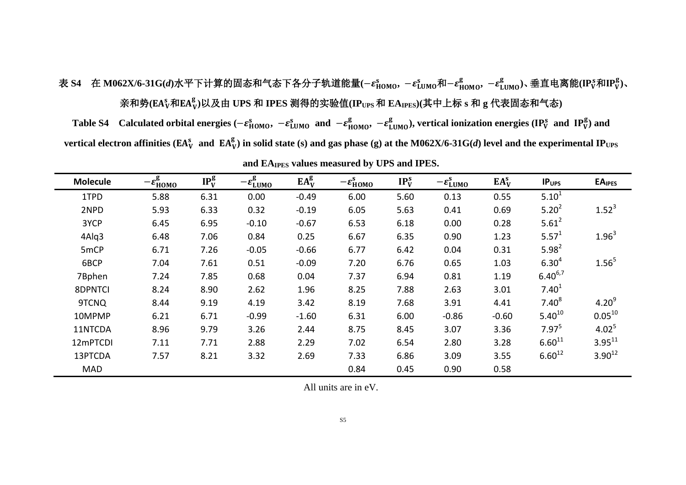## 表 S4 在 M062X/6-31G(*d*)水平下计算的固态和气态下各分子轨道能量(−ε $_{\rm{HOMO}}^{\rm{s}}$ , −ε $_{\rm{LUMO}}^{\rm{g}}$ , −ε $_{\rm{LUMO}}^{\rm{g}}$ )、垂直电离能(IP $_{\rm{V}}^{\rm{s}}$ AlIP $_{\rm{V}}^{\rm{g}}$ )、 亲和势**(** 和 **)**以及由 **UPS** 和 **IPES** 测得的实验值**(IPUPS**和 **EAIPES)(**其中上标 **s** 和 **g** 代表固态和气态**)**

Table S4  $-$  Calculated orbital energies ( $-\varepsilon^s_{\rm{HOMO}}, -\varepsilon^s_{\rm{LUMO}}$  and  $-\varepsilon^g_{\rm{HOMO}}, -\varepsilon^g_{\rm{LUMO}}$ ), vertical ionization energies (IP $^s_{\rm{V}}$  and  $-$  IP $^g_{\rm{V}}$ ) and  $\bf v$ ertical electron affinities (EA $^{\rm g}_{\rm V}$  and EA $^{\rm g}_{\rm V}$ ) in solid state (s) and gas phase (g) at the M062X/6-31G(*d*) level and the experimental IP $_{\rm UPS}$ 

| <b>Molecule</b> | $-\varepsilon_{\underline{HOMO}}^{\mathrm{g}}$ | $IP_V^g$ | $-\varepsilon_{\underline{\rm LUMO}}^{\rm g}$ | $EA_v^g$ | $-\varepsilon_{\text{HOMO}}^{\text{s}}$ | $IP_{V}^{s}$ | $-\varepsilon_{L\underline{UM}0}^s$ | $EA_V^s$ | IP <sub>UPS</sub> | <b>EA<sub>IPES</sub></b> |
|-----------------|------------------------------------------------|----------|-----------------------------------------------|----------|-----------------------------------------|--------------|-------------------------------------|----------|-------------------|--------------------------|
| 1TPD            | 5.88                                           | 6.31     | 0.00                                          | $-0.49$  | 6.00                                    | 5.60         | 0.13                                | 0.55     | $5.10^{1}$        |                          |
| 2NPD            | 5.93                                           | 6.33     | 0.32                                          | $-0.19$  | 6.05                                    | 5.63         | 0.41                                | 0.69     | $5.20^2$          | $1.52^{3}$               |
| 3YCP            | 6.45                                           | 6.95     | $-0.10$                                       | $-0.67$  | 6.53                                    | 6.18         | 0.00                                | 0.28     | $5.61^2$          |                          |
| 4Alq3           | 6.48                                           | 7.06     | 0.84                                          | 0.25     | 6.67                                    | 6.35         | 0.90                                | 1.23     | $5.57^{1}$        | $1.96^{3}$               |
| 5mCP            | 6.71                                           | 7.26     | $-0.05$                                       | $-0.66$  | 6.77                                    | 6.42         | 0.04                                | 0.31     | $5.98^{2}$        |                          |
| 6BCP            | 7.04                                           | 7.61     | 0.51                                          | $-0.09$  | 7.20                                    | 6.76         | 0.65                                | 1.03     | $6.30^{4}$        | $1.56^{5}$               |
| 7Bphen          | 7.24                                           | 7.85     | 0.68                                          | 0.04     | 7.37                                    | 6.94         | 0.81                                | 1.19     | $6.40^{6,7}$      |                          |
| 8DPNTCI         | 8.24                                           | 8.90     | 2.62                                          | 1.96     | 8.25                                    | 7.88         | 2.63                                | 3.01     | 7.40 <sup>1</sup> |                          |
| 9TCNQ           | 8.44                                           | 9.19     | 4.19                                          | 3.42     | 8.19                                    | 7.68         | 3.91                                | 4.41     | $7.40^{8}$        | $4.20^{9}$               |
| 10MPMP          | 6.21                                           | 6.71     | $-0.99$                                       | $-1.60$  | 6.31                                    | 6.00         | $-0.86$                             | $-0.60$  | $5.40^{10}$       | $0.05^{10}$              |
| 11NTCDA         | 8.96                                           | 9.79     | 3.26                                          | 2.44     | 8.75                                    | 8.45         | 3.07                                | 3.36     | $7.97^{5}$        | $4.02^{5}$               |
| 12mPTCDI        | 7.11                                           | 7.71     | 2.88                                          | 2.29     | 7.02                                    | 6.54         | 2.80                                | 3.28     | $6.60^{11}$       | $3.95^{11}$              |
| 13PTCDA         | 7.57                                           | 8.21     | 3.32                                          | 2.69     | 7.33                                    | 6.86         | 3.09                                | 3.55     | $6.60^{12}$       | $3.90^{12}$              |
| <b>MAD</b>      |                                                |          |                                               |          | 0.84                                    | 0.45         | 0.90                                | 0.58     |                   |                          |

**and EAIPES values measured by UPS and IPES.**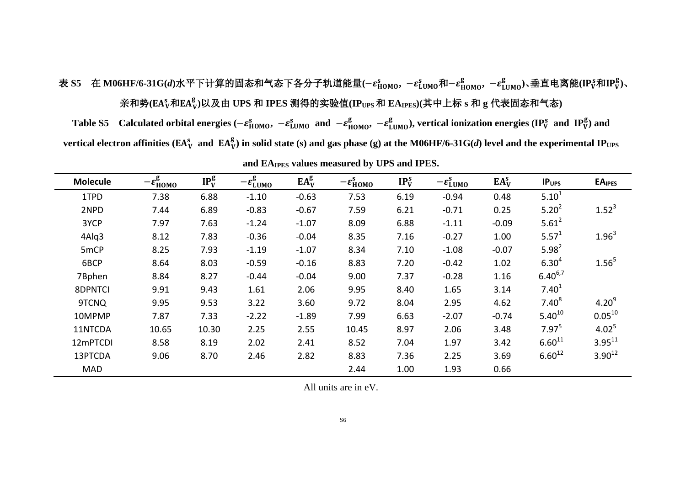## 表 S5 在 M06HF/6-31G(*d*)水平下计算的固态和气态下各分子轨道能量(−ε $_{\rm{HOMO}}^{\rm{s}},\;$ −ε $_{\rm{LUMO}}^{\rm{g}}$ λ −ε $_{\rm{LUMO}}^{\rm{g}}$ )、垂直电离能(IP $_{\rm{V}}^{\rm{s}}$ AlIP $_{\rm{V}}^{\rm{g}}$ )、 亲和势**(** 和 **)**以及由 **UPS** 和 **IPES** 测得的实验值**(IPUPS**和 **EAIPES)(**其中上标 **s** 和 **g** 代表固态和气态**)**

Table S5  $-$  Calculated orbital energies ( $-\varepsilon_{\rm{HOMO}}^{\rm{s}}, -\varepsilon_{\rm{LUMO}}^{\rm{g}}$  and  $- \varepsilon_{\rm{HOMO}}^{\rm{g}}, -\varepsilon_{\rm{LUMO}}^{\rm{g}}$ ), vertical ionization energies (IP $_{\rm{V}}^{\rm{s}}$  and  $-$  IP $_{\rm{V}}^{\rm{g}}$ ) and  $\bf v$ ertical electron affinities (EA $^{\rm g}_{\rm V}$  and EA $^{\rm g}_{\rm V}$ ) in solid state (s) and gas phase (g) at the M06HF/6-31G(*d*) level and the experimental IP<sub>UPS</sub>

| <b>Molecule</b> | $-\varepsilon_{\underline{HOMO}}^{\mathrm{g}}$ | $IP_V^g$ | $-\varepsilon_{\underline{\mathsf{LUMO}}}^\mathrm{g}$ | $EA_V^g$ | $-\varepsilon_{\text{HOMO}}^{\text{s}}$ | $IP_{V}^{s}$ | $-\varepsilon_{\text{LUMO}}^{\text{s}}$ | $EA_V^s$ | IP <sub>UPS</sub> | <b>EA<sub>IPES</sub></b> |
|-----------------|------------------------------------------------|----------|-------------------------------------------------------|----------|-----------------------------------------|--------------|-----------------------------------------|----------|-------------------|--------------------------|
| 1TPD            | 7.38                                           | 6.88     | $-1.10$                                               | $-0.63$  | 7.53                                    | 6.19         | $-0.94$                                 | 0.48     | $5.10^{1}$        |                          |
| 2NPD            | 7.44                                           | 6.89     | $-0.83$                                               | $-0.67$  | 7.59                                    | 6.21         | $-0.71$                                 | 0.25     | $5.20^2$          | $1.52^{3}$               |
| 3YCP            | 7.97                                           | 7.63     | $-1.24$                                               | $-1.07$  | 8.09                                    | 6.88         | $-1.11$                                 | $-0.09$  | $5.61^2$          |                          |
| 4Alq3           | 8.12                                           | 7.83     | $-0.36$                                               | $-0.04$  | 8.35                                    | 7.16         | $-0.27$                                 | 1.00     | $5.57^{1}$        | $1.96^{3}$               |
| 5mCP            | 8.25                                           | 7.93     | $-1.19$                                               | $-1.07$  | 8.34                                    | 7.10         | $-1.08$                                 | $-0.07$  | $5.98^{2}$        |                          |
| 6BCP            | 8.64                                           | 8.03     | $-0.59$                                               | $-0.16$  | 8.83                                    | 7.20         | $-0.42$                                 | 1.02     | $6.30^{4}$        | $1.56^{5}$               |
| 7Bphen          | 8.84                                           | 8.27     | $-0.44$                                               | $-0.04$  | 9.00                                    | 7.37         | $-0.28$                                 | 1.16     | $6.40^{6,7}$      |                          |
| 8DPNTCI         | 9.91                                           | 9.43     | 1.61                                                  | 2.06     | 9.95                                    | 8.40         | 1.65                                    | 3.14     | 7.40 <sup>1</sup> |                          |
| 9TCNQ           | 9.95                                           | 9.53     | 3.22                                                  | 3.60     | 9.72                                    | 8.04         | 2.95                                    | 4.62     | $7.40^{8}$        | $4.20^{9}$               |
| 10MPMP          | 7.87                                           | 7.33     | $-2.22$                                               | $-1.89$  | 7.99                                    | 6.63         | $-2.07$                                 | $-0.74$  | $5.40^{10}$       | $0.05^{10}$              |
| 11NTCDA         | 10.65                                          | 10.30    | 2.25                                                  | 2.55     | 10.45                                   | 8.97         | 2.06                                    | 3.48     | $7.97^{5}$        | $4.02^{5}$               |
| 12mPTCDI        | 8.58                                           | 8.19     | 2.02                                                  | 2.41     | 8.52                                    | 7.04         | 1.97                                    | 3.42     | $6.60^{11}$       | $3.95^{11}$              |
| 13PTCDA         | 9.06                                           | 8.70     | 2.46                                                  | 2.82     | 8.83                                    | 7.36         | 2.25                                    | 3.69     | $6.60^{12}$       | $3.90^{12}$              |
| <b>MAD</b>      |                                                |          |                                                       |          | 2.44                                    | 1.00         | 1.93                                    | 0.66     |                   |                          |

**and EAIPES values measured by UPS and IPES.**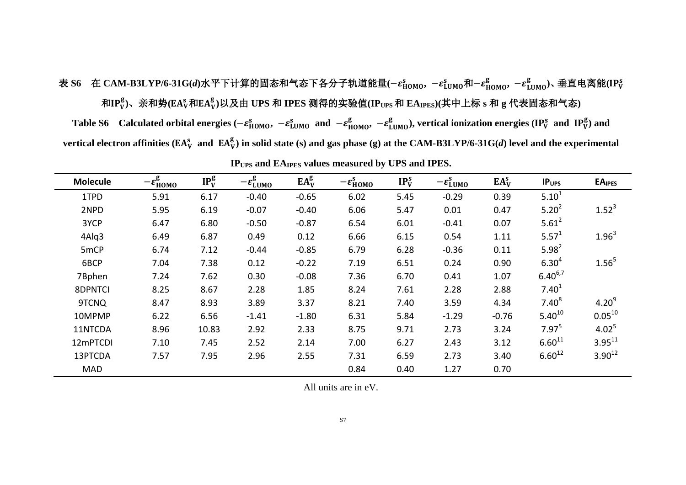## 表 S6 在 CAM-B3LYP/6-31G(*d*)水平下计算的固态和气态下各分子轨道能量(−ε $_{\tt{HOMO}}^{\rm{s}},\,$  −ε $_{\tt{LUMO}}^{\rm{g}}$ , −ε $_{\tt{LUMO}}^{\rm{g}}$ )、垂直电离能(IP $_{\tt{V}}^{\rm{s}}$ 和IP<sub>V</sub>)、亲和势(EA{<sub>V</sub>和EA{<sub>V</sub>)以及由 UPS 和 IPES 测得的实验值(IP<sub>UPS</sub>和 EA<sub>IPES</sub>)(其中上标 s 和 g 代表固态和气态)

Table S6  $-$  Calculated orbital energies ( $-\varepsilon^s_{\rm{HOMO}}, -\varepsilon^s_{\rm{LUMO}}$  and  $-\varepsilon^g_{\rm{HOMO}}, -\varepsilon^g_{\rm{LUMO}}$ ), vertical ionization energies (IP $^s_{\rm{V}}$  and  $-$  IP $^g_{\rm{V}}$ ) and vertical electron affinities ( $EA_V^s$  and  $EA_V^g$ ) in solid state (s) and gas phase (g) at the CAM-B3LYP/6-31G(*d*) level and the experimental

| <b>Molecule</b> | $-\varepsilon_{\underline{HOMO}}^{\overline{g}}$ | $IP_V^g$ | $-\varepsilon_{\underline{\mathsf{LUMO}}}^{\mathsf{g}}$ | $EA_V^g$ | $-\varepsilon_{\text{HOMO}}^{\text{s}}$ | $IP_V^s$ | $-\varepsilon_{\text{LUMO}}^{\text{s}}$ | $EA_V^s$ | IP <sub>UPS</sub> | <b>EA<sub>IPES</sub></b> |
|-----------------|--------------------------------------------------|----------|---------------------------------------------------------|----------|-----------------------------------------|----------|-----------------------------------------|----------|-------------------|--------------------------|
| 1TPD            | 5.91                                             | 6.17     | $-0.40$                                                 | $-0.65$  | 6.02                                    | 5.45     | $-0.29$                                 | 0.39     | $5.10^{1}$        |                          |
| 2NPD            | 5.95                                             | 6.19     | $-0.07$                                                 | $-0.40$  | 6.06                                    | 5.47     | 0.01                                    | 0.47     | $5.20^2$          | $1.52^{3}$               |
| 3YCP            | 6.47                                             | 6.80     | $-0.50$                                                 | $-0.87$  | 6.54                                    | 6.01     | $-0.41$                                 | 0.07     | $5.61^2$          |                          |
| 4Alq3           | 6.49                                             | 6.87     | 0.49                                                    | 0.12     | 6.66                                    | 6.15     | 0.54                                    | 1.11     | $5.57^{1}$        | $1.96^{3}$               |
| 5mCP            | 6.74                                             | 7.12     | $-0.44$                                                 | $-0.85$  | 6.79                                    | 6.28     | $-0.36$                                 | 0.11     | $5.98^{2}$        |                          |
| 6BCP            | 7.04                                             | 7.38     | 0.12                                                    | $-0.22$  | 7.19                                    | 6.51     | 0.24                                    | 0.90     | $6.30^{4}$        | $1.56^{5}$               |
| 7Bphen          | 7.24                                             | 7.62     | 0.30                                                    | $-0.08$  | 7.36                                    | 6.70     | 0.41                                    | 1.07     | $6.40^{6,7}$      |                          |
| 8DPNTCI         | 8.25                                             | 8.67     | 2.28                                                    | 1.85     | 8.24                                    | 7.61     | 2.28                                    | 2.88     | 7.40 <sup>1</sup> |                          |
| 9TCNQ           | 8.47                                             | 8.93     | 3.89                                                    | 3.37     | 8.21                                    | 7.40     | 3.59                                    | 4.34     | $7.40^{8}$        | $4.20^{9}$               |
| 10MPMP          | 6.22                                             | 6.56     | $-1.41$                                                 | $-1.80$  | 6.31                                    | 5.84     | $-1.29$                                 | $-0.76$  | $5.40^{10}$       | $0.05^{10}$              |
| 11NTCDA         | 8.96                                             | 10.83    | 2.92                                                    | 2.33     | 8.75                                    | 9.71     | 2.73                                    | 3.24     | $7.97^{5}$        | $4.02^{5}$               |
| 12mPTCDI        | 7.10                                             | 7.45     | 2.52                                                    | 2.14     | 7.00                                    | 6.27     | 2.43                                    | 3.12     | $6.60^{11}$       | $3.95^{11}$              |
| 13PTCDA         | 7.57                                             | 7.95     | 2.96                                                    | 2.55     | 7.31                                    | 6.59     | 2.73                                    | 3.40     | $6.60^{12}$       | $3.90^{12}$              |
| <b>MAD</b>      |                                                  |          |                                                         |          | 0.84                                    | 0.40     | 1.27                                    | 0.70     |                   |                          |

**IPUPS and EAIPES values measured by UPS and IPES.**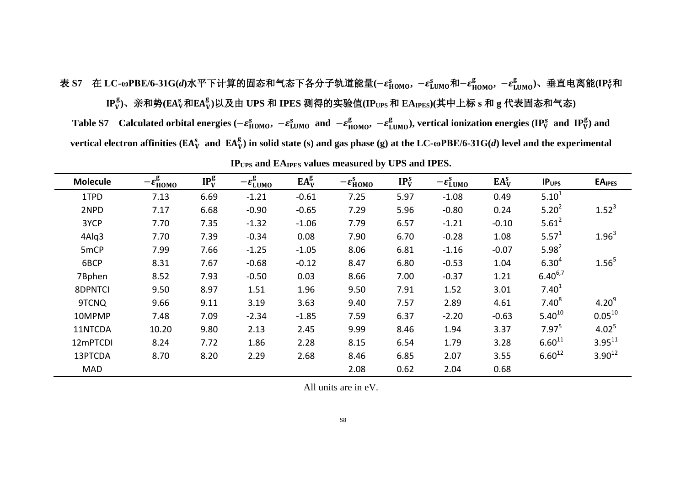表 S7 在 LC-ωPBE/6-31G(*d*)水平下计算的固态和气态下各分子轨道能量(−ε $_{\rm HOMO}^{\rm s}$ , −ε $_{\rm LUMO}^{\rm g}$ 和−ε $_{\rm HOMO}^{\rm g}$ , −ε $_{\rm LUMO}^{\rm g}$ )、垂直电离能(IP $_{\rm V}^{\rm s}$ 和  $\mathbf{IP^g_V}$ )、亲和势( $\mathbf{EA^v_V}$ 和E $\mathbf{A^g_V}$ )以及由 UPS 和 IPES 测得的实验值(IP $_{\text{UPS}}$ 和 E $\mathbf{A_{\text{IPES}}}$ )(其中上标 s 和 g 代表固态和气态)

Table S7  $-$  Calculated orbital energies ( $-\varepsilon^s_{\rm{HOMO}}, -\varepsilon^s_{\rm{LUMO}}$  and  $-\varepsilon^g_{\rm{HOMO}}, -\varepsilon^g_{\rm{LUMO}}$ ), vertical ionization energies (IP $^s_{\rm V}$  and  $-$  IP $^g_{\rm V}$ ) and vertical electron affinities (EA $^s_V$  and EA $^g_V$ ) in solid state (s) and gas phase (g) at the LC-ωPBE/6-31G(*d*) level and the experimental

| <b>Molecule</b> | $-\varepsilon_{\underline{HOMO}}^{\mathrm{g}}$ | $IP^g_V$ | $-\varepsilon_{\underline{\mathsf{LUMO}}}^{\mathrm{g}}$ | $EA_V^g$ | $-\varepsilon_{\text{HOMO}}^{\text{s}}$ | $IP_{V}^{s}$ | $-\varepsilon_{\text{LUMO}}^{\text{s}}$ | $EA_V^s$ | IP <sub>UPS</sub> | <b>EA<sub>IPES</sub></b> |
|-----------------|------------------------------------------------|----------|---------------------------------------------------------|----------|-----------------------------------------|--------------|-----------------------------------------|----------|-------------------|--------------------------|
| 1TPD            | 7.13                                           | 6.69     | $-1.21$                                                 | $-0.61$  | 7.25                                    | 5.97         | $-1.08$                                 | 0.49     | 5.10 <sup>1</sup> |                          |
| 2NPD            | 7.17                                           | 6.68     | $-0.90$                                                 | $-0.65$  | 7.29                                    | 5.96         | $-0.80$                                 | 0.24     | $5.20^2$          | $1.52^{3}$               |
| 3YCP            | 7.70                                           | 7.35     | $-1.32$                                                 | $-1.06$  | 7.79                                    | 6.57         | $-1.21$                                 | $-0.10$  | $5.61^2$          |                          |
| 4Alq3           | 7.70                                           | 7.39     | $-0.34$                                                 | 0.08     | 7.90                                    | 6.70         | $-0.28$                                 | 1.08     | 5.57 <sup>1</sup> | $1.96^{3}$               |
| 5mCP            | 7.99                                           | 7.66     | $-1.25$                                                 | $-1.05$  | 8.06                                    | 6.81         | $-1.16$                                 | $-0.07$  | $5.98^{2}$        |                          |
| 6BCP            | 8.31                                           | 7.67     | $-0.68$                                                 | $-0.12$  | 8.47                                    | 6.80         | $-0.53$                                 | 1.04     | $6.30^{4}$        | $1.56^{5}$               |
| 7Bphen          | 8.52                                           | 7.93     | $-0.50$                                                 | 0.03     | 8.66                                    | 7.00         | $-0.37$                                 | 1.21     | $6.40^{6,7}$      |                          |
| 8DPNTCI         | 9.50                                           | 8.97     | 1.51                                                    | 1.96     | 9.50                                    | 7.91         | 1.52                                    | 3.01     | 7.40 <sup>1</sup> |                          |
| 9TCNQ           | 9.66                                           | 9.11     | 3.19                                                    | 3.63     | 9.40                                    | 7.57         | 2.89                                    | 4.61     | $7.40^{8}$        | $4.20^{9}$               |
| 10MPMP          | 7.48                                           | 7.09     | $-2.34$                                                 | $-1.85$  | 7.59                                    | 6.37         | $-2.20$                                 | $-0.63$  | $5.40^{10}$       | $0.05^{10}$              |
| 11NTCDA         | 10.20                                          | 9.80     | 2.13                                                    | 2.45     | 9.99                                    | 8.46         | 1.94                                    | 3.37     | $7.97^{5}$        | $4.02^{5}$               |
| 12mPTCDI        | 8.24                                           | 7.72     | 1.86                                                    | 2.28     | 8.15                                    | 6.54         | 1.79                                    | 3.28     | $6.60^{11}$       | $3.95^{11}$              |
| 13PTCDA         | 8.70                                           | 8.20     | 2.29                                                    | 2.68     | 8.46                                    | 6.85         | 2.07                                    | 3.55     | $6.60^{12}$       | $3.90^{12}$              |
| <b>MAD</b>      |                                                |          |                                                         |          | 2.08                                    | 0.62         | 2.04                                    | 0.68     |                   |                          |

**IPUPS and EAIPES values measured by UPS and IPES.**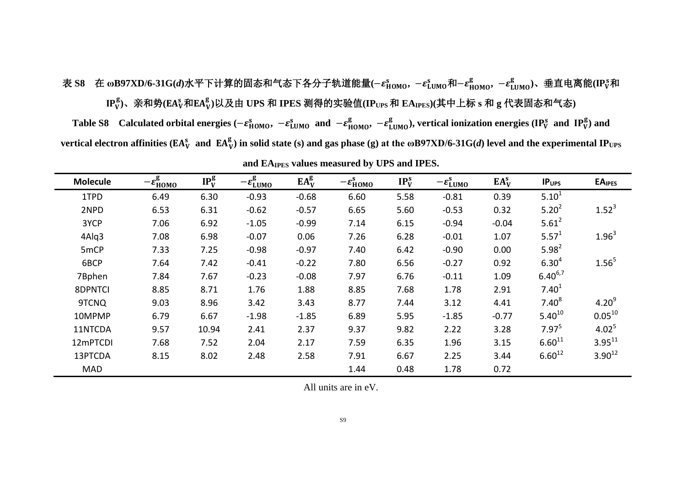## 表 S8 在 ωB97XD/6-31G(*d*)水平下计算的固态和气态下各分子轨道能量(−ε $_{\rm HOMO}^{\rm s}$ , −ε $_{\rm LUMO}^{\rm g}$ 和−ε $_{\rm HOMO}^{\rm g}$ )、垂直电离能(IP $_{\rm V}^{\rm s}$ 和  $\mathbf{IP^g_V}$ )、亲和势( $\mathbf{EA^v_V}$ 和E $\mathbf{A^g_V}$ )以及由 UPS 和 IPES 测得的实验值(IP $_{\text{UPS}}$ 和 E $\mathbf{A_{\text{IPES}}}$ )(其中上标 s 和 g 代表固态和气态)

Table S8  $\;$  Calculated orbital energies ( $-\varepsilon^{\rm s}_{\rm HOMO},\;-\varepsilon^{\rm s}_{\rm LUMO}$  and  $\;-\varepsilon^{\rm g}_{\rm HOMO},\;-\varepsilon^{\rm g}_{\rm LUMO})\rm{,}$  vertical ionization energies (IP $_{\rm V}^{\rm s}$  and  $\;$ IP $_{\rm V}^{\rm g}$ ) and  $\bf v$ ertical electron affinities (EA $^{\rm g}_{\rm V}$  and EA $^{\rm g}_{\rm V}$ ) in solid state (s) and gas phase (g) at the ωB97XD/6-31G(*d*) level and the experimental IP<sub>UPS</sub>

| <b>Molecule</b> | $-\varepsilon_{\text{HOMO}}^{\text{g}}$ | $IP^g_V$ | $-\varepsilon_{\underline{\rm LUMO}}^{\rm g}$ | $EA_V^g$ | $-\varepsilon_{\text{HOMO}}^{\text{s}}$ | $IP_{V}^{s}$ | $-\varepsilon_{\text{LUMO}}^{\text{s}}$ | $EA_V^s$ | IP <sub>UPS</sub> | <b>EA<sub>IPES</sub></b> |
|-----------------|-----------------------------------------|----------|-----------------------------------------------|----------|-----------------------------------------|--------------|-----------------------------------------|----------|-------------------|--------------------------|
| 1TPD            | 6.49                                    | 6.30     | $-0.93$                                       | $-0.68$  | 6.60                                    | 5.58         | $-0.81$                                 | 0.39     | $5.10^{1}$        |                          |
| 2NPD            | 6.53                                    | 6.31     | $-0.62$                                       | $-0.57$  | 6.65                                    | 5.60         | $-0.53$                                 | 0.32     | $5.20^2$          | $1.52^{3}$               |
| 3YCP            | 7.06                                    | 6.92     | $-1.05$                                       | $-0.99$  | 7.14                                    | 6.15         | $-0.94$                                 | $-0.04$  | $5.61^2$          |                          |
| 4Alq3           | 7.08                                    | 6.98     | $-0.07$                                       | 0.06     | 7.26                                    | 6.28         | $-0.01$                                 | 1.07     | $5.57^{1}$        | $1.96^{3}$               |
| 5mCP            | 7.33                                    | 7.25     | $-0.98$                                       | $-0.97$  | 7.40                                    | 6.42         | $-0.90$                                 | 0.00     | $5.98^{2}$        |                          |
| 6BCP            | 7.64                                    | 7.42     | $-0.41$                                       | $-0.22$  | 7.80                                    | 6.56         | $-0.27$                                 | 0.92     | $6.30^{4}$        | $1.56^{5}$               |
| 7Bphen          | 7.84                                    | 7.67     | $-0.23$                                       | $-0.08$  | 7.97                                    | 6.76         | $-0.11$                                 | 1.09     | $6.40^{6,7}$      |                          |
| 8DPNTCI         | 8.85                                    | 8.71     | 1.76                                          | 1.88     | 8.85                                    | 7.68         | 1.78                                    | 2.91     | 7.40 <sup>1</sup> |                          |
| 9TCNQ           | 9.03                                    | 8.96     | 3.42                                          | 3.43     | 8.77                                    | 7.44         | 3.12                                    | 4.41     | $7.40^{8}$        | $4.20^{9}$               |
| 10MPMP          | 6.79                                    | 6.67     | $-1.98$                                       | $-1.85$  | 6.89                                    | 5.95         | $-1.85$                                 | $-0.77$  | $5.40^{10}$       | $0.05^{10}$              |
| 11NTCDA         | 9.57                                    | 10.94    | 2.41                                          | 2.37     | 9.37                                    | 9.82         | 2.22                                    | 3.28     | 7.97 <sup>5</sup> | $4.02^{5}$               |
| 12mPTCDI        | 7.68                                    | 7.52     | 2.04                                          | 2.17     | 7.59                                    | 6.35         | 1.96                                    | 3.15     | $6.60^{11}$       | $3.95^{11}$              |
| 13PTCDA         | 8.15                                    | 8.02     | 2.48                                          | 2.58     | 7.91                                    | 6.67         | 2.25                                    | 3.44     | $6.60^{12}$       | $3.90^{12}$              |
| <b>MAD</b>      |                                         |          |                                               |          | 1.44                                    | 0.48         | 1.78                                    | 0.72     |                   |                          |

**and EAIPES values measured by UPS and IPES.**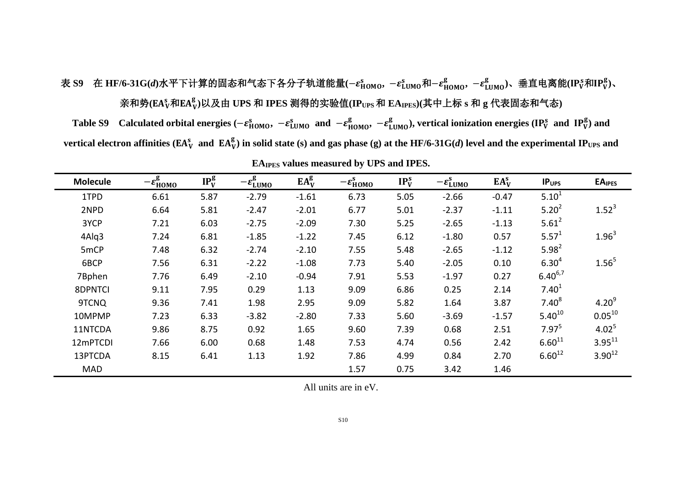## 表 S9 在 HF/6-31G(*d*)水平下计算的固态和气态下各分子轨道能量(−ε $_{\rm{HOMO}}^{\rm{s}},\,$ −ε $_{\rm{LUMO}}^{\rm{g}}$ 和−ε $_{\rm{HOMO}}^{\rm{g}},\,$ −ε $_{\rm{LUMO}}^{\rm{g}}$ )、垂直电离能(IP $_{\rm{V}}^{\rm{s}}$ AlIP $_{\rm{V}}^{\rm{g}}$ )、 亲和势**(** 和 **)**以及由 **UPS** 和 **IPES** 测得的实验值**(IPUPS**和 **EAIPES)(**其中上标 **s** 和 **g** 代表固态和气态**)**

Table S9  $-$  Calculated orbital energies ( $-\varepsilon_{\rm{HOMO}}^{\rm{s}}, -\varepsilon_{\rm{LUMO}}^{\rm{g}}$  and  $- \varepsilon_{\rm{HOMO}}^{\rm{g}}, -\varepsilon_{\rm{LUMO}}^{\rm{g}}$ ), vertical ionization energies (IP $_{\rm{V}}^{\rm{s}}$  and  $-$  IP $_{\rm{V}}^{\rm{g}}$ ) and  $v$ ertical electron affinities (EA $^s_V$  and  $EA^g_V$ ) in solid state (s) and gas phase (g) at the HF/6-31G(*d*) level and the experimental IP<sub>UPS</sub> and

| <b>Molecule</b> | $-\varepsilon_{\underline{\text{HOMO}}}^{\text{g}}$ | $IP_V^g$ | $-\varepsilon_{\underline{\text{LUMO}}}^{\text{g}}$ | $EA_v^g$ | $-\varepsilon_{\text{HOMO}}^{\text{s}}$ | $IP_{V}^{s}$ | $-\varepsilon_{\text{LUMO}}^{\text{s}}$ | $EA_V^s$ | IP <sub>UPS</sub> | <b>EA<sub>IPES</sub></b> |
|-----------------|-----------------------------------------------------|----------|-----------------------------------------------------|----------|-----------------------------------------|--------------|-----------------------------------------|----------|-------------------|--------------------------|
| 1TPD            | 6.61                                                | 5.87     | $-2.79$                                             | $-1.61$  | 6.73                                    | 5.05         | $-2.66$                                 | $-0.47$  | $5.10^{1}$        |                          |
| 2NPD            | 6.64                                                | 5.81     | $-2.47$                                             | $-2.01$  | 6.77                                    | 5.01         | $-2.37$                                 | $-1.11$  | $5.20^2$          | $1.52^{3}$               |
| 3YCP            | 7.21                                                | 6.03     | $-2.75$                                             | $-2.09$  | 7.30                                    | 5.25         | $-2.65$                                 | $-1.13$  | $5.61^2$          |                          |
| 4Alq3           | 7.24                                                | 6.81     | $-1.85$                                             | $-1.22$  | 7.45                                    | 6.12         | $-1.80$                                 | 0.57     | $5.57^{1}$        | $1.96^{3}$               |
| 5mCP            | 7.48                                                | 6.32     | $-2.74$                                             | $-2.10$  | 7.55                                    | 5.48         | $-2.65$                                 | $-1.12$  | $5.98^{2}$        |                          |
| 6BCP            | 7.56                                                | 6.31     | $-2.22$                                             | $-1.08$  | 7.73                                    | 5.40         | $-2.05$                                 | 0.10     | $6.30^{4}$        | $1.56^{5}$               |
| 7Bphen          | 7.76                                                | 6.49     | $-2.10$                                             | $-0.94$  | 7.91                                    | 5.53         | $-1.97$                                 | 0.27     | $6.40^{6,7}$      |                          |
| 8DPNTCI         | 9.11                                                | 7.95     | 0.29                                                | 1.13     | 9.09                                    | 6.86         | 0.25                                    | 2.14     | 7.40 <sup>1</sup> |                          |
| 9TCNQ           | 9.36                                                | 7.41     | 1.98                                                | 2.95     | 9.09                                    | 5.82         | 1.64                                    | 3.87     | $7.40^{8}$        | $4.20^{9}$               |
| 10MPMP          | 7.23                                                | 6.33     | $-3.82$                                             | $-2.80$  | 7.33                                    | 5.60         | $-3.69$                                 | $-1.57$  | $5.40^{10}$       | $0.05^{10}$              |
| 11NTCDA         | 9.86                                                | 8.75     | 0.92                                                | 1.65     | 9.60                                    | 7.39         | 0.68                                    | 2.51     | $7.97^{5}$        | 4.02 <sup>5</sup>        |
| 12mPTCDI        | 7.66                                                | 6.00     | 0.68                                                | 1.48     | 7.53                                    | 4.74         | 0.56                                    | 2.42     | $6.60^{11}$       | $3.95^{11}$              |
| 13PTCDA         | 8.15                                                | 6.41     | 1.13                                                | 1.92     | 7.86                                    | 4.99         | 0.84                                    | 2.70     | $6.60^{12}$       | $3.90^{12}$              |
| <b>MAD</b>      |                                                     |          |                                                     |          | 1.57                                    | 0.75         | 3.42                                    | 1.46     |                   |                          |

**EAIPES values measured by UPS and IPES.**